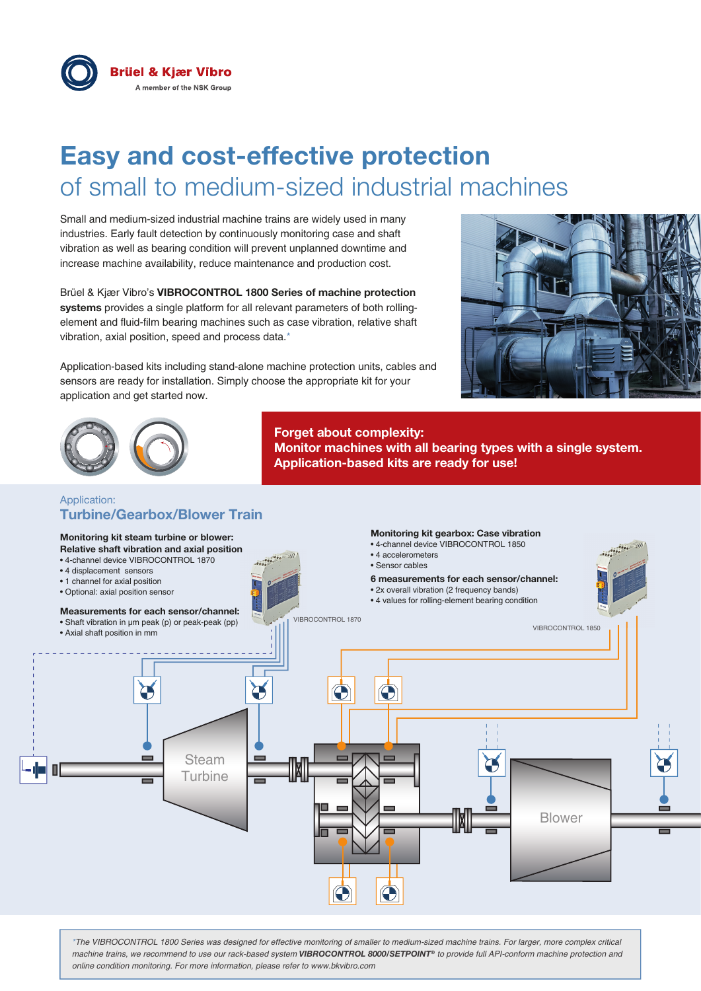

# **Easy and cost-effective protection** of small to medium-sized industrial machines

Small and medium-sized industrial machine trains are widely used in many industries. Early fault detection by continuously monitoring case and shaft vibration as well as bearing condition will prevent unplanned downtime and increase machine availability, reduce maintenance and production cost.

Brüel & Kjær Vibro's **VIBROCONTROL 1800 Series of machine protection systems** provides a single platform for all relevant parameters of both rollingelement and fluid-film bearing machines such as case vibration, relative shaft vibration, axial position, speed and process data.\*

Application-based kits including stand-alone machine protection units, cables and sensors are ready for installation. Simply choose the appropriate kit for your application and get started now.





### Application: **Turbine/Gearbox/Blower Train**



**Forget about complexity:** 

**Application-based kits are ready for use!**

**Monitor machines with all bearing types with a single system.** 

*\*The VIBROCONTROL 1800 Series was designed for effective monitoring of smaller to medium-sized machine trains. For larger, more complex critical machine trains, we recommend to use our rack-based system VIBROCONTROL 8000/SETPOINT® to provide full API-conform machine protection and online condition monitoring. For more information, please refer to www.bkvibro.com*